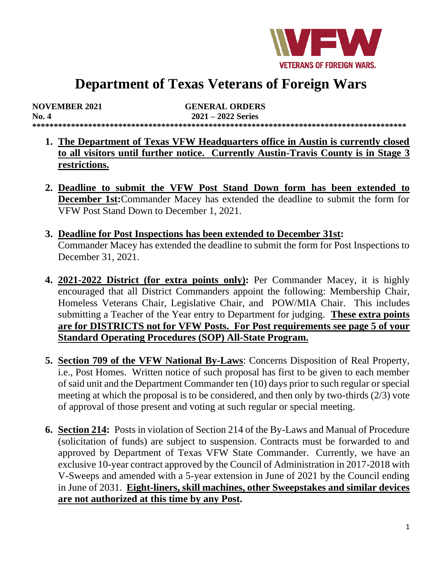

# **Department of Texas Veterans of Foreign Wars**

| <b>NOVEMBER 2021</b> | <b>GENERAL ORDERS</b> |  |
|----------------------|-----------------------|--|
| No. 4                | $2021 - 2022$ Series  |  |
|                      |                       |  |

- **1. The Department of Texas VFW Headquarters office in Austin is currently closed to all visitors until further notice. Currently Austin-Travis County is in Stage 3 restrictions.**
- **2. Deadline to submit the VFW Post Stand Down form has been extended to December 1st:**Commander Macey has extended the deadline to submit the form for VFW Post Stand Down to December 1, 2021.
- **3. Deadline for Post Inspections has been extended to December 31st:** Commander Macey has extended the deadline to submit the form for Post Inspections to December 31, 2021.
- **4. 2021-2022 District (for extra points only):** Per Commander Macey, it is highly encouraged that all District Commanders appoint the following: Membership Chair, Homeless Veterans Chair, Legislative Chair, and POW/MIA Chair. This includes submitting a Teacher of the Year entry to Department for judging. **These extra points are for DISTRICTS not for VFW Posts. For Post requirements see page 5 of your Standard Operating Procedures (SOP) All-State Program.**
- **5. Section 709 of the VFW National By-Laws**: Concerns Disposition of Real Property, i.e., Post Homes. Written notice of such proposal has first to be given to each member of said unit and the Department Commander ten (10) days prior to such regular orspecial meeting at which the proposal is to be considered, and then only by two-thirds (2/3) vote of approval of those present and voting at such regular or special meeting.
- **6. Section 214:** Posts in violation of Section 214 of the By-Laws and Manual of Procedure (solicitation of funds) are subject to suspension. Contracts must be forwarded to and approved by Department of Texas VFW State Commander. Currently, we have an exclusive 10-year contract approved by the Council of Administration in 2017-2018 with V-Sweeps and amended with a 5-year extension in June of 2021 by the Council ending in June of 2031. **Eight-liners, skill machines, other Sweepstakes and similar devices are not authorized at this time by any Post.**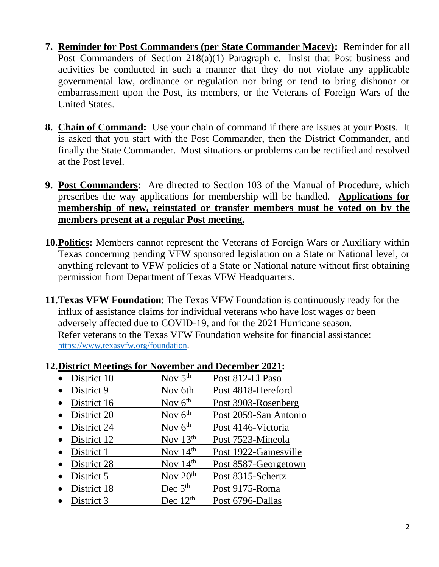- **7. Reminder for Post Commanders (per State Commander Macey):** Reminder for all Post Commanders of Section 218(a)(1) Paragraph c. Insist that Post business and activities be conducted in such a manner that they do not violate any applicable governmental law, ordinance or regulation nor bring or tend to bring dishonor or embarrassment upon the Post, its members, or the Veterans of Foreign Wars of the United States.
- **8. Chain of Command:** Use your chain of command if there are issues at your Posts. It is asked that you start with the Post Commander, then the District Commander, and finally the State Commander. Most situations or problems can be rectified and resolved at the Post level.
- **9. Post Commanders:** Are directed to Section 103 of the Manual of Procedure, which prescribes the way applications for membership will be handled. **Applications for membership of new, reinstated or transfer members must be voted on by the members present at a regular Post meeting.**
- **10.Politics:** Members cannot represent the Veterans of Foreign Wars or Auxiliary within Texas concerning pending VFW sponsored legislation on a State or National level, or anything relevant to VFW policies of a State or National nature without first obtaining permission from Department of Texas VFW Headquarters.
- **11.Texas VFW Foundation**: The Texas VFW Foundation is continuously ready for the influx of assistance claims for individual veterans who have lost wages or been adversely affected due to COVID-19, and for the 2021 Hurricane season. Refer veterans to the Texas VFW Foundation website for financial assistance: [https://www.texasvfw.org/foundation.](https://www.texasvfw.org/foundation)

| $\bullet$ District 9 | Nov 6th    | Post 4818-Hereford    |
|----------------------|------------|-----------------------|
| District 16          | Nov $6th$  | Post 3903-Rosenberg   |
| District 20          | Nov $6th$  | Post 2059-San Antonio |
| District 24          | Nov $6th$  | Post 4146-Victoria    |
| District 12          | Nov $13th$ | Post 7523-Mineola     |
| District 1           | Nov $14th$ | Post 1922-Gainesville |
| • District 28        | Nov $14th$ | Post 8587-Georgetown  |
| District 5           | Nov $20th$ | Post 8315-Schertz     |
| District 18          | Dec $5th$  | Post 9175-Roma        |

#### **12.District Meetings for November and December 2021:**

• District 10  $\qquad \qquad$  Nov  $5<sup>th</sup>$  Post 812-El Paso

 $District 3$  Dec  $12<sup>th</sup>$  Post 6796-Dallas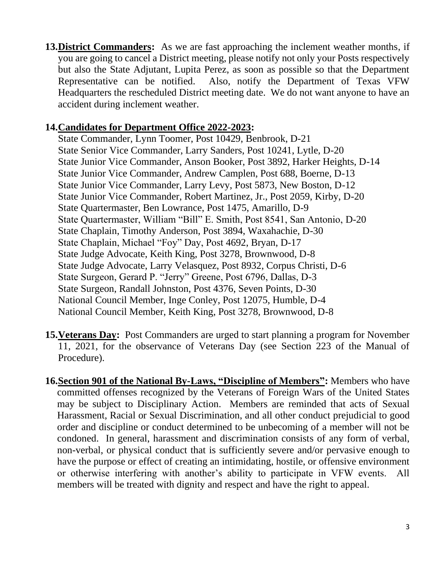**13.District Commanders:** As we are fast approaching the inclement weather months, if you are going to cancel a District meeting, please notify not only your Posts respectively but also the State Adjutant, Lupita Perez, as soon as possible so that the Department Representative can be notified. Also, notify the Department of Texas VFW Headquarters the rescheduled District meeting date. We do not want anyone to have an accident during inclement weather.

#### **14.Candidates for Department Office 2022-2023:**

State Commander, Lynn Toomer, Post 10429, Benbrook, D-21 State Senior Vice Commander, Larry Sanders, Post 10241, Lytle, D-20 State Junior Vice Commander, Anson Booker, Post 3892, Harker Heights, D-14 State Junior Vice Commander, Andrew Camplen, Post 688, Boerne, D-13 State Junior Vice Commander, Larry Levy, Post 5873, New Boston, D-12 State Junior Vice Commander, Robert Martinez, Jr., Post 2059, Kirby, D-20 State Quartermaster, Ben Lowrance, Post 1475, Amarillo, D-9 State Quartermaster, William "Bill" E. Smith, Post 8541, San Antonio, D-20 State Chaplain, Timothy Anderson, Post 3894, Waxahachie, D-30 State Chaplain, Michael "Foy" Day, Post 4692, Bryan, D-17 State Judge Advocate, Keith King, Post 3278, Brownwood, D-8 State Judge Advocate, Larry Velasquez, Post 8932, Corpus Christi, D-6 State Surgeon, Gerard P. "Jerry" Greene, Post 6796, Dallas, D-3 State Surgeon, Randall Johnston, Post 4376, Seven Points, D-30 National Council Member, Inge Conley, Post 12075, Humble, D-4 National Council Member, Keith King, Post 3278, Brownwood, D-8

- **15.Veterans Day:** Post Commanders are urged to start planning a program for November 11, 2021, for the observance of Veterans Day (see Section 223 of the Manual of Procedure).
- **16.Section 901 of the National By-Laws, "Discipline of Members":** Members who have committed offenses recognized by the Veterans of Foreign Wars of the United States may be subject to Disciplinary Action. Members are reminded that acts of Sexual Harassment, Racial or Sexual Discrimination, and all other conduct prejudicial to good order and discipline or conduct determined to be unbecoming of a member will not be condoned. In general, harassment and discrimination consists of any form of verbal, non-verbal, or physical conduct that is sufficiently severe and/or pervasive enough to have the purpose or effect of creating an intimidating, hostile, or offensive environment or otherwise interfering with another's ability to participate in VFW events. All members will be treated with dignity and respect and have the right to appeal.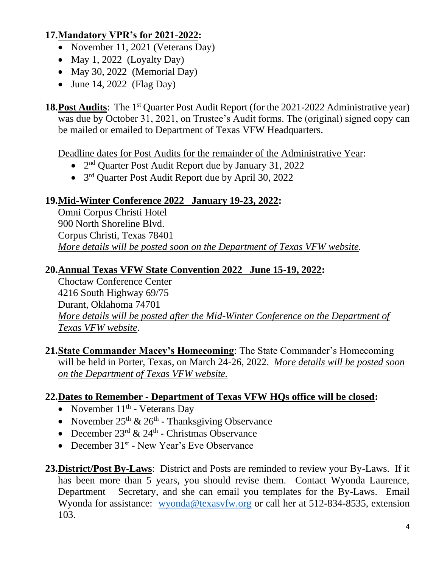# **17.Mandatory VPR's for 2021-2022:**

- November 11, 2021 (Veterans Day)
- May 1, 2022 (Loyalty Day)
- May 30, 2022 (Memorial Day)
- June 14, 2022 (Flag Day)

**18. Post Audits**: The 1<sup>st</sup> Quarter Post Audit Report (for the 2021-2022 Administrative year) was due by October 31, 2021, on Trustee's Audit forms. The (original) signed copy can be mailed or emailed to Department of Texas VFW Headquarters.

Deadline dates for Post Audits for the remainder of the Administrative Year:

- 2<sup>nd</sup> Quarter Post Audit Report due by January 31, 2022
- 3<sup>rd</sup> Quarter Post Audit Report due by April 30, 2022

# **19.Mid-Winter Conference 2022 January 19-23, 2022:**

Omni Corpus Christi Hotel 900 North Shoreline Blvd. Corpus Christi, Texas 78401 *More details will be posted soon on the Department of Texas VFW website.* 

# **20.Annual Texas VFW State Convention 2022 June 15-19, 2022:**

 Choctaw Conference Center 4216 South Highway 69/75 Durant, Oklahoma 74701 *More details will be posted after the Mid-Winter Conference on the Department of Texas VFW website.* 

**21.State Commander Macey's Homecoming**: The State Commander's Homecoming will be held in Porter, Texas, on March 24-26, 2022. *More details will be posted soon on the Department of Texas VFW website.* 

# **22.Dates to Remember - Department of Texas VFW HQs office will be closed:**

- November  $11<sup>th</sup>$  Veterans Day
- November  $25<sup>th</sup>$  &  $26<sup>th</sup>$  Thanksgiving Observance
- December  $23^{\text{rd}} \& 24^{\text{th}}$  Christmas Observance
- December 31<sup>st</sup> New Year's Eve Observance
- **23.District/Post By-Laws**: District and Posts are reminded to review your By-Laws. If it has been more than 5 years, you should revise them. Contact Wyonda Laurence, Department Secretary, and she can email you templates for the By-Laws. Email Wyonda for assistance: [wyonda@texasvfw.org](mailto:wyonda@texasvfw.org) or call her at 512-834-8535, extension 103.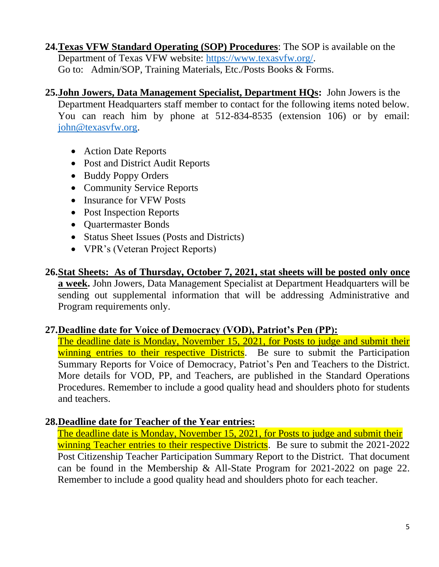- **24.Texas VFW Standard Operating (SOP) Procedures**: The SOP is available on the Department of Texas VFW website: [https://www.texasvfw.org/.](https://www.texasvfw.org/) Go to: Admin/SOP, Training Materials, Etc./Posts Books & Forms.
- **25.John Jowers, Data Management Specialist, Department HQs:** John Jowers is the Department Headquarters staff member to contact for the following items noted below. You can reach him by phone at 512-834-8535 (extension 106) or by email: [john@texasvfw.org.](mailto:john@texasvfw.org)
	- Action Date Reports
	- Post and District Audit Reports
	- Buddy Poppy Orders
	- Community Service Reports
	- Insurance for VFW Posts
	- Post Inspection Reports
	- Quartermaster Bonds
	- Status Sheet Issues (Posts and Districts)
	- VPR's (Veteran Project Reports)

**26.Stat Sheets: As of Thursday, October 7, 2021, stat sheets will be posted only once a week.** John Jowers, Data Management Specialist at Department Headquarters will be sending out supplemental information that will be addressing Administrative and Program requirements only.

# **27.Deadline date for Voice of Democracy (VOD), Patriot's Pen (PP):**

The deadline date is Monday, November 15, 2021, for Posts to judge and submit their winning entries to their respective Districts</u>. Be sure to submit the Participation Summary Reports for Voice of Democracy, Patriot's Pen and Teachers to the District. More details for VOD, PP, and Teachers, are published in the Standard Operations Procedures. Remember to include a good quality head and shoulders photo for students and teachers.

# **28.Deadline date for Teacher of the Year entries:**

The deadline date is Monday, November 15, 2021, for Posts to judge and submit their winning Teacher entries to their respective Districts. Be sure to submit the 2021-2022 Post Citizenship Teacher Participation Summary Report to the District. That document can be found in the Membership & All-State Program for 2021-2022 on page 22. Remember to include a good quality head and shoulders photo for each teacher.